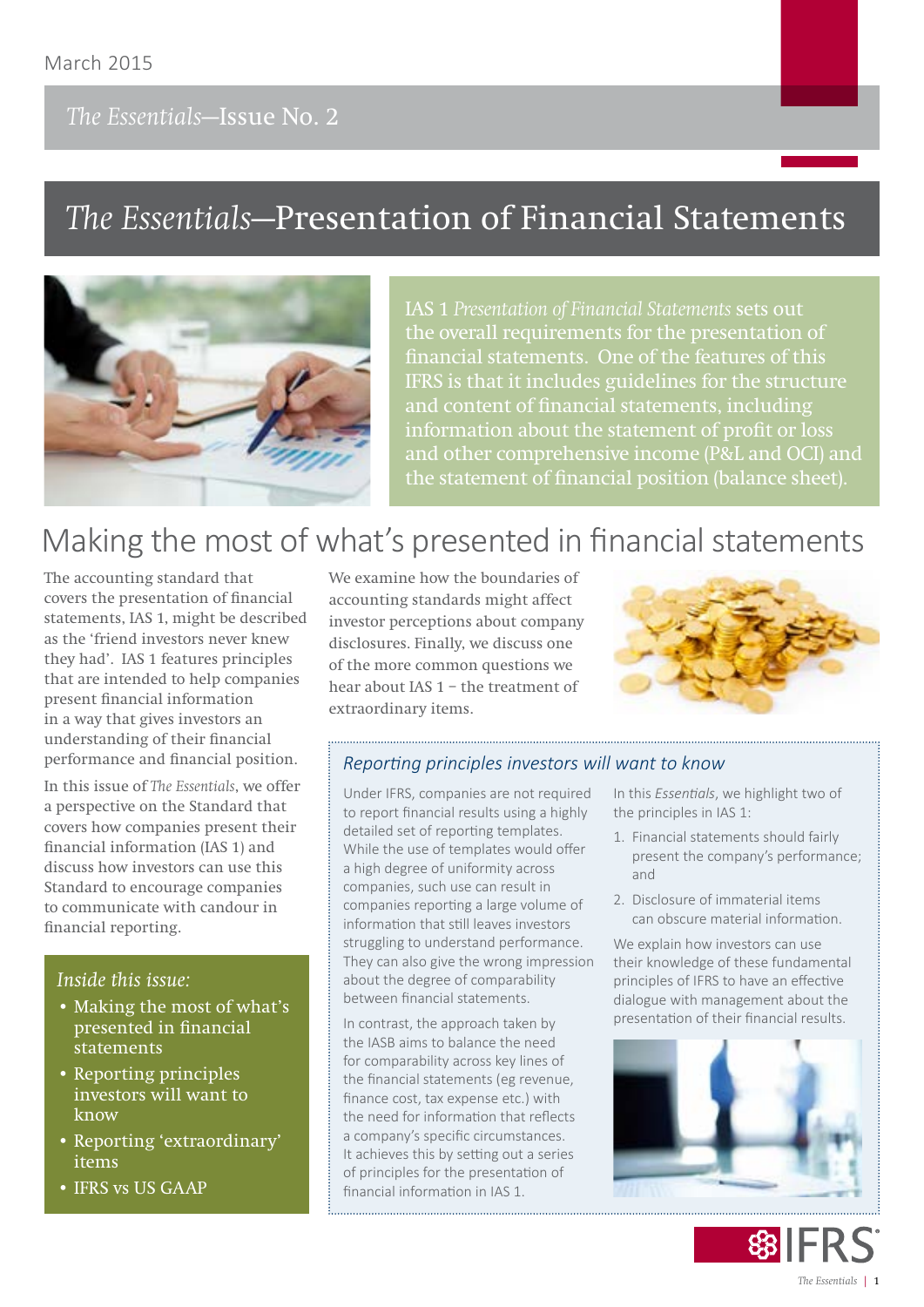## *The Essentials***—Issue No. 2**

# *The Essentials***—Presentation of Financial Statements**



**IAS 1** *Presentation of Financial Statements* **sets out the overall requirements for the presentation of financial statements. One of the features of this IFRS is that it includes guidelines for the structure and content of financial statements, including information about the statement of profit or loss and other comprehensive income (P&L and OCI) and the statement of financial position (balance sheet).**

# Making the most of what's presented in financial statements

The accounting standard that covers the presentation of financial statements, IAS 1, might be described as the 'friend investors never knew they had'. IAS 1 features principles that are intended to help companies present financial information in a way that gives investors an understanding of their financial performance and financial position.

In this issue of *The Essentials*, we offer a perspective on the Standard that covers how companies present their financial information (IAS 1) and discuss how investors can use this Standard to encourage companies to communicate with candour in financial reporting.

#### *Inside this issue:*

- Making the most of what's presented in financial statements
- Reporting principles investors will want to know
- Reporting 'extraordinary' items
- IFRS vs US GAAP

We examine how the boundaries of accounting standards might affect investor perceptions about company disclosures. Finally, we discuss one of the more common questions we hear about IAS 1 – the treatment of extraordinary items.



#### *Reporting principles investors will want to know*

Under IFRS, companies are not required to report financial results using a highly detailed set of reporting templates. While the use of templates would offer a high degree of uniformity across companies, such use can result in companies reporting a large volume of information that still leaves investors struggling to understand performance. They can also give the wrong impression about the degree of comparability between financial statements.

In contrast, the approach taken by the IASB aims to balance the need for comparability across key lines of the financial statements (eg revenue, finance cost, tax expense etc.) with the need for information that reflects a company's specific circumstances. It achieves this by setting out a series of principles for the presentation of financial information in IAS 1.

In this *Essentials*, we highlight two of the principles in IAS 1:

- 1. Financial statements should fairly present the company's performance; and
- 2. Disclosure of immaterial items can obscure material information.

We explain how investors can use their knowledge of these fundamental principles of IFRS to have an effective dialogue with management about the presentation of their financial results.



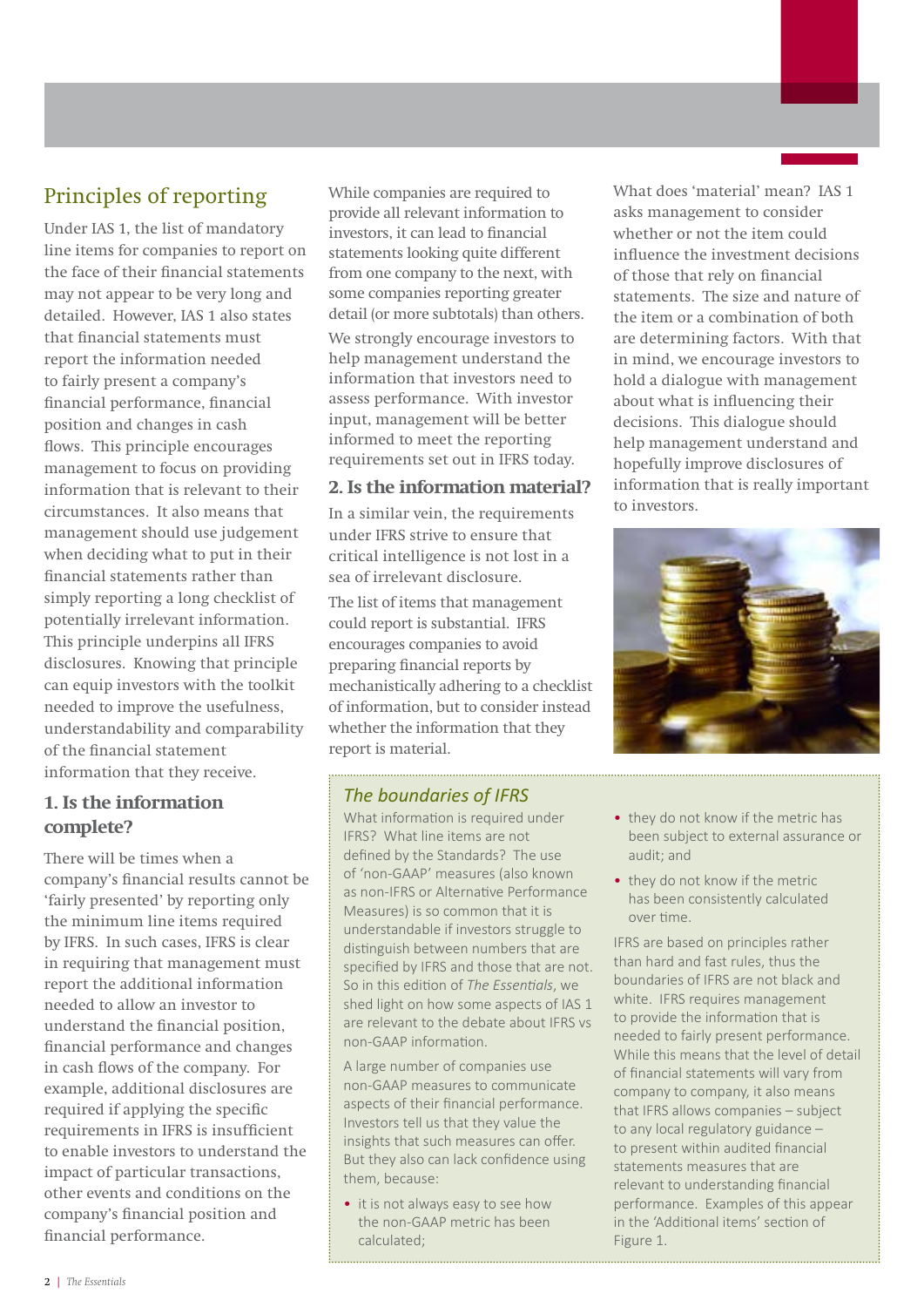## Principles of reporting

Under IAS 1, the list of mandatory line items for companies to report on the face of their financial statements may not appear to be very long and detailed. However, IAS 1 also states that financial statements must report the information needed to fairly present a company's financial performance, financial position and changes in cash flows. This principle encourages management to focus on providing information that is relevant to their circumstances. It also means that management should use judgement when deciding what to put in their financial statements rather than simply reporting a long checklist of potentially irrelevant information. This principle underpins all IFRS disclosures. Knowing that principle can equip investors with the toolkit needed to improve the usefulness, understandability and comparability of the financial statement information that they receive.

#### **1. Is the information complete?**

There will be times when a company's financial results cannot be 'fairly presented' by reporting only the minimum line items required by IFRS. In such cases, IFRS is clear in requiring that management must report the additional information needed to allow an investor to understand the financial position, financial performance and changes in cash flows of the company. For example, additional disclosures are required if applying the specific requirements in IFRS is insufficient to enable investors to understand the impact of particular transactions, other events and conditions on the company's financial position and financial performance.

While companies are required to provide all relevant information to investors, it can lead to financial statements looking quite different from one company to the next, with some companies reporting greater detail (or more subtotals) than others.

We strongly encourage investors to help management understand the information that investors need to assess performance. With investor input, management will be better informed to meet the reporting requirements set out in IFRS today.

#### **2. Is the information material?**

In a similar vein, the requirements under IFRS strive to ensure that critical intelligence is not lost in a sea of irrelevant disclosure.

The list of items that management could report is substantial. IFRS encourages companies to avoid preparing financial reports by mechanistically adhering to a checklist of information, but to consider instead whether the information that they report is material.

### *The boundaries of IFRS*

What information is required under IFRS? What line items are not defined by the Standards? The use of 'non-GAAP' measures (also known as non-IFRS or Alternative Performance Measures) is so common that it is understandable if investors struggle to distinguish between numbers that are specified by IFRS and those that are not. So in this edition of *The Essentials*, we shed light on how some aspects of IAS 1 are relevant to the debate about IFRS vs non-GAAP information.

A large number of companies use non-GAAP measures to communicate aspects of their financial performance. Investors tell us that they value the insights that such measures can offer. But they also can lack confidence using them, because:

• it is not always easy to see how the non-GAAP metric has been calculated;

What does 'material' mean? IAS 1 asks management to consider whether or not the item could influence the investment decisions of those that rely on financial statements. The size and nature of the item or a combination of both are determining factors. With that in mind, we encourage investors to hold a dialogue with management about what is influencing their decisions. This dialogue should help management understand and hopefully improve disclosures of information that is really important to investors.



- they do not know if the metric has been subject to external assurance or audit; and
- they do not know if the metric has been consistently calculated over time.

IFRS are based on principles rather than hard and fast rules, thus the boundaries of IFRS are not black and white. **IFRS** requires management to provide the information that is needed to fairly present performance. While this means that the level of detail of financial statements will vary from company to company, it also means that IFRS allows companies – subject to any local regulatory guidance – to present within audited financial statements measures that are relevant to understanding financial performance. Examples of this appear in the 'Additional items' section of Figure 1.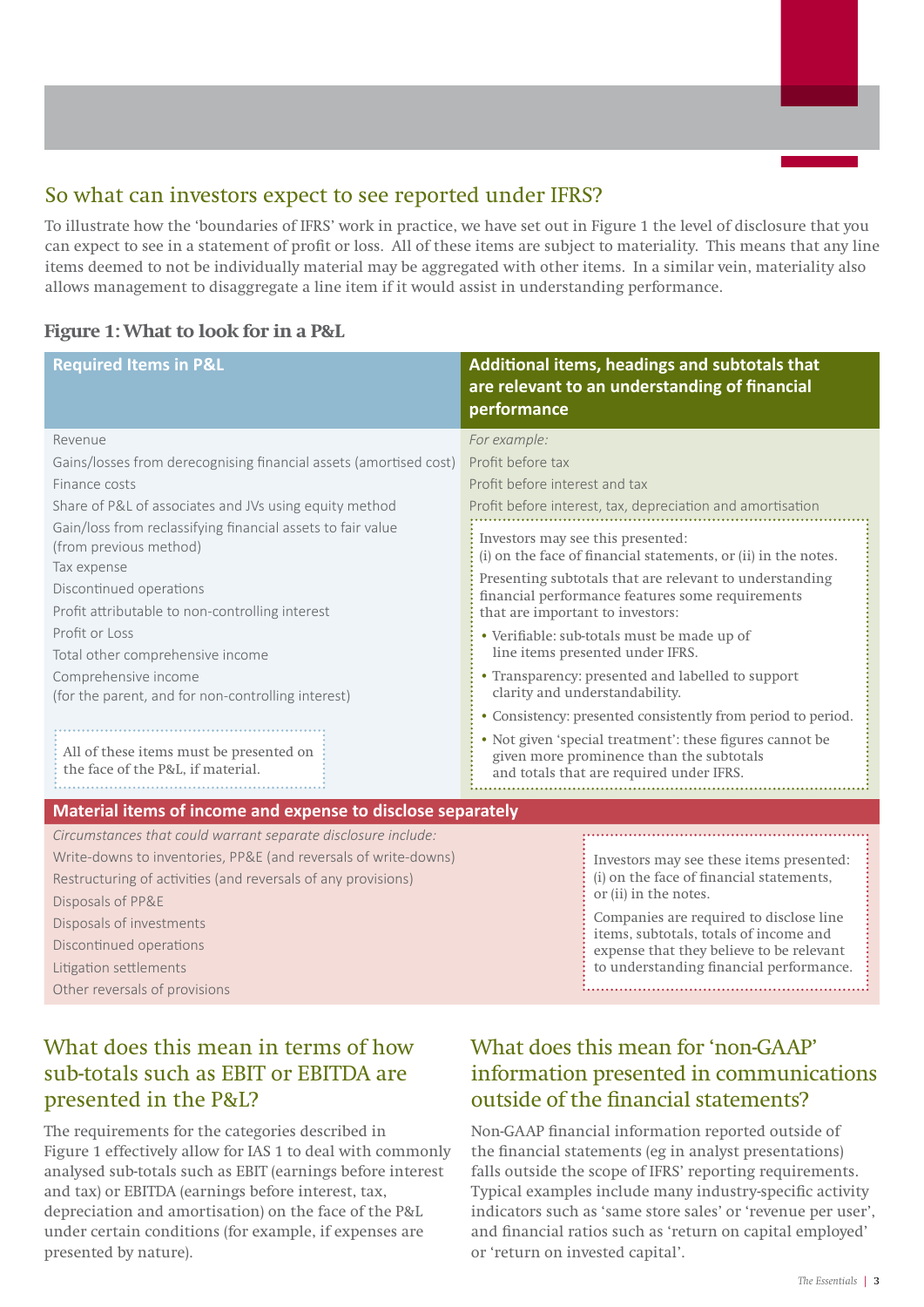## So what can investors expect to see reported under IFRS?

To illustrate how the 'boundaries of IFRS' work in practice, we have set out in Figure 1 the level of disclosure that you can expect to see in a statement of profit or loss. All of these items are subject to materiality. This means that any line items deemed to not be individually material may be aggregated with other items. In a similar vein, materiality also allows management to disaggregate a line item if it would assist in understanding performance.

#### **Figure 1: What to look for in a P&L**

| <b>Required Items in P&amp;L</b>                                                                                                                                                                                                                                                                                                                                                                                                                                                                                                                                  | Additional items, headings and subtotals that<br>are relevant to an understanding of financial<br>performance                                                                                                                                                                                                                                                                                                                                                                                                                                                                                                                                                                                                                                                                             |
|-------------------------------------------------------------------------------------------------------------------------------------------------------------------------------------------------------------------------------------------------------------------------------------------------------------------------------------------------------------------------------------------------------------------------------------------------------------------------------------------------------------------------------------------------------------------|-------------------------------------------------------------------------------------------------------------------------------------------------------------------------------------------------------------------------------------------------------------------------------------------------------------------------------------------------------------------------------------------------------------------------------------------------------------------------------------------------------------------------------------------------------------------------------------------------------------------------------------------------------------------------------------------------------------------------------------------------------------------------------------------|
| Revenue<br>Gains/losses from derecognising financial assets (amortised cost)<br>Finance costs<br>Share of P&L of associates and JVs using equity method<br>Gain/loss from reclassifying financial assets to fair value<br>(from previous method)<br>Tax expense<br>Discontinued operations<br>Profit attributable to non-controlling interest<br>Profit or Loss<br>Total other comprehensive income<br>Comprehensive income<br>(for the parent, and for non-controlling interest)<br>All of these items must be presented on<br>the face of the P&L, if material. | For example:<br>Profit before tax<br>Profit before interest and tax<br>Profit before interest, tax, depreciation and amortisation<br>Investors may see this presented:<br>(i) on the face of financial statements, or (ii) in the notes.<br>Presenting subtotals that are relevant to understanding<br>financial performance features some requirements<br>that are important to investors:<br>• Verifiable: sub-totals must be made up of<br>line items presented under IFRS.<br>• Transparency: presented and labelled to support<br>clarity and understandability.<br>• Consistency: presented consistently from period to period.<br>• Not given 'special treatment': these figures cannot be<br>given more prominence than the subtotals<br>and totals that are required under IFRS. |
| Material items of income and expense to disclose separately<br>Circumstances that could warrant separate disclosure include:<br>Write-downs to inventories, PP&E (and reversals of write-downs)<br>Restructuring of activities (and reversals of any provisions)<br>Disposals of PP&E<br>Disposals of investments<br>Discontinued operations<br>Litigation settlements                                                                                                                                                                                            | Investors may see these items presented:<br>(i) on the face of financial statements,<br>or (ii) in the notes.<br>Companies are required to disclose line<br>items, subtotals, totals of income and<br>expense that they believe to be relevant<br>to understanding financial performance.                                                                                                                                                                                                                                                                                                                                                                                                                                                                                                 |

Other reversals of provisions

## What does this mean in terms of how sub-totals such as EBIT or EBITDA are presented in the P&L?

The requirements for the categories described in Figure 1 effectively allow for IAS 1 to deal with commonly analysed sub-totals such as EBIT (earnings before interest and tax) or EBITDA (earnings before interest, tax, depreciation and amortisation) on the face of the P&L under certain conditions (for example, if expenses are presented by nature).

## What does this mean for 'non-GAAP' information presented in communications outside of the financial statements?

Non-GAAP financial information reported outside of the financial statements (eg in analyst presentations) falls outside the scope of IFRS' reporting requirements. Typical examples include many industry-specific activity indicators such as 'same store sales' or 'revenue per user', and financial ratios such as 'return on capital employed' or 'return on invested capital'.